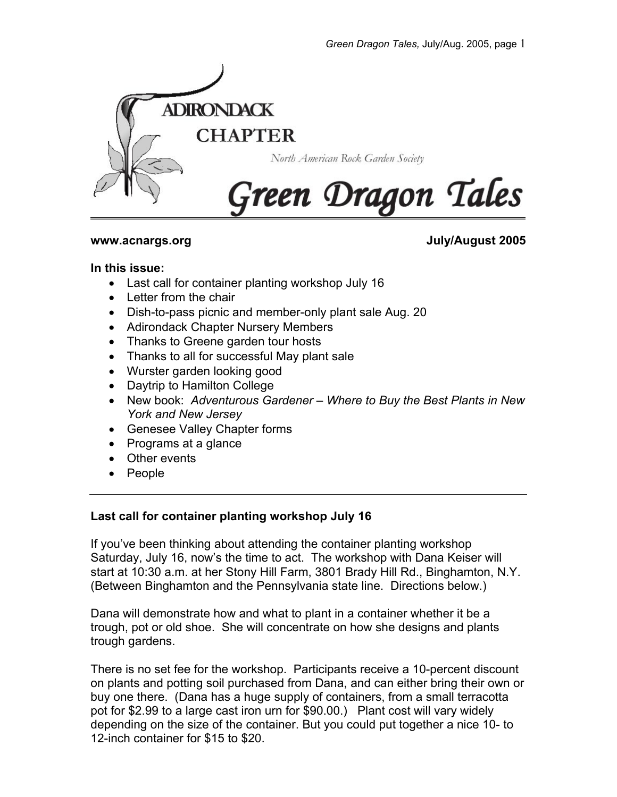

**www.acnargs.org July/August 2005**

## **In this issue:**

- Last call for container planting workshop July 16
- Letter from the chair
- Dish-to-pass picnic and member-only plant sale Aug. 20
- Adirondack Chapter Nursery Members
- Thanks to Greene garden tour hosts
- Thanks to all for successful May plant sale
- Wurster garden looking good
- Daytrip to Hamilton College
- New book: *Adventurous Gardener Where to Buy the Best Plants in New York and New Jersey*
- Genesee Valley Chapter forms
- Programs at a glance
- Other events
- People

# **Last call for container planting workshop July 16**

If you've been thinking about attending the container planting workshop Saturday, July 16, now's the time to act. The workshop with Dana Keiser will start at 10:30 a.m. at her Stony Hill Farm, 3801 Brady Hill Rd., Binghamton, N.Y. (Between Binghamton and the Pennsylvania state line. Directions below.)

Dana will demonstrate how and what to plant in a container whether it be a trough, pot or old shoe. She will concentrate on how she designs and plants trough gardens.

There is no set fee for the workshop. Participants receive a 10-percent discount on plants and potting soil purchased from Dana, and can either bring their own or buy one there. (Dana has a huge supply of containers, from a small terracotta pot for \$2.99 to a large cast iron urn for \$90.00.) Plant cost will vary widely depending on the size of the container. But you could put together a nice 10- to 12-inch container for \$15 to \$20.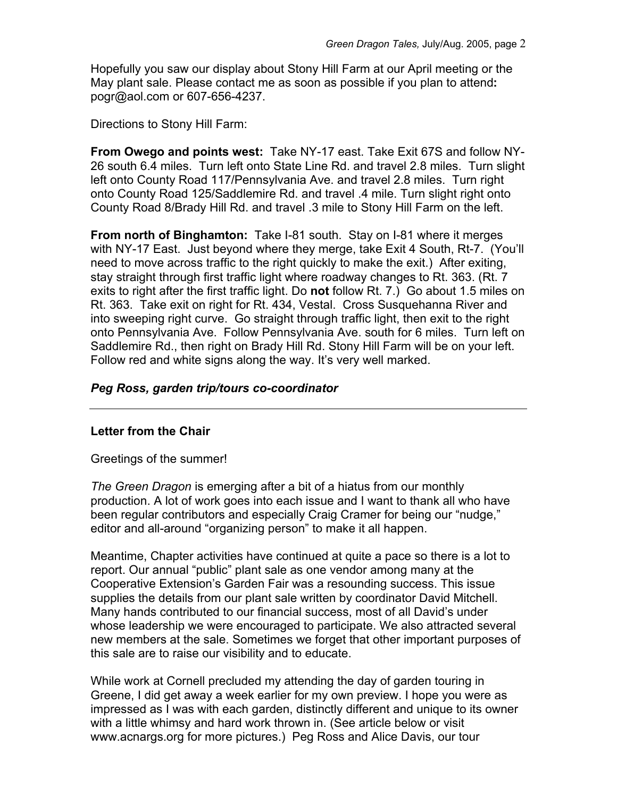Hopefully you saw our display about Stony Hill Farm at our April meeting or the May plant sale. Please contact me as soon as possible if you plan to attend**:** pogr@aol.com or 607-656-4237.

Directions to Stony Hill Farm:

**From Owego and points west:** Take NY-17 east. Take Exit 67S and follow NY-26 south 6.4 miles. Turn left onto State Line Rd. and travel 2.8 miles. Turn slight left onto County Road 117/Pennsylvania Ave. and travel 2.8 miles. Turn right onto County Road 125/Saddlemire Rd. and travel .4 mile. Turn slight right onto County Road 8/Brady Hill Rd. and travel .3 mile to Stony Hill Farm on the left.

**From north of Binghamton:** Take I-81 south. Stay on I-81 where it merges with NY-17 East. Just beyond where they merge, take Exit 4 South, Rt-7. (You'll need to move across traffic to the right quickly to make the exit.) After exiting, stay straight through first traffic light where roadway changes to Rt. 363. (Rt. 7 exits to right after the first traffic light. Do **not** follow Rt. 7.) Go about 1.5 miles on Rt. 363. Take exit on right for Rt. 434, Vestal. Cross Susquehanna River and into sweeping right curve. Go straight through traffic light, then exit to the right onto Pennsylvania Ave. Follow Pennsylvania Ave. south for 6 miles. Turn left on Saddlemire Rd., then right on Brady Hill Rd. Stony Hill Farm will be on your left. Follow red and white signs along the way. It's very well marked.

## *Peg Ross, garden trip/tours co-coordinator*

## **Letter from the Chair**

Greetings of the summer!

*The Green Dragon* is emerging after a bit of a hiatus from our monthly production. A lot of work goes into each issue and I want to thank all who have been regular contributors and especially Craig Cramer for being our "nudge," editor and all-around "organizing person" to make it all happen.

Meantime, Chapter activities have continued at quite a pace so there is a lot to report. Our annual "public" plant sale as one vendor among many at the Cooperative Extension's Garden Fair was a resounding success. This issue supplies the details from our plant sale written by coordinator David Mitchell. Many hands contributed to our financial success, most of all David's under whose leadership we were encouraged to participate. We also attracted several new members at the sale. Sometimes we forget that other important purposes of this sale are to raise our visibility and to educate.

While work at Cornell precluded my attending the day of garden touring in Greene, I did get away a week earlier for my own preview. I hope you were as impressed as I was with each garden, distinctly different and unique to its owner with a little whimsy and hard work thrown in. (See article below or visit www.acnargs.org for more pictures.) Peg Ross and Alice Davis, our tour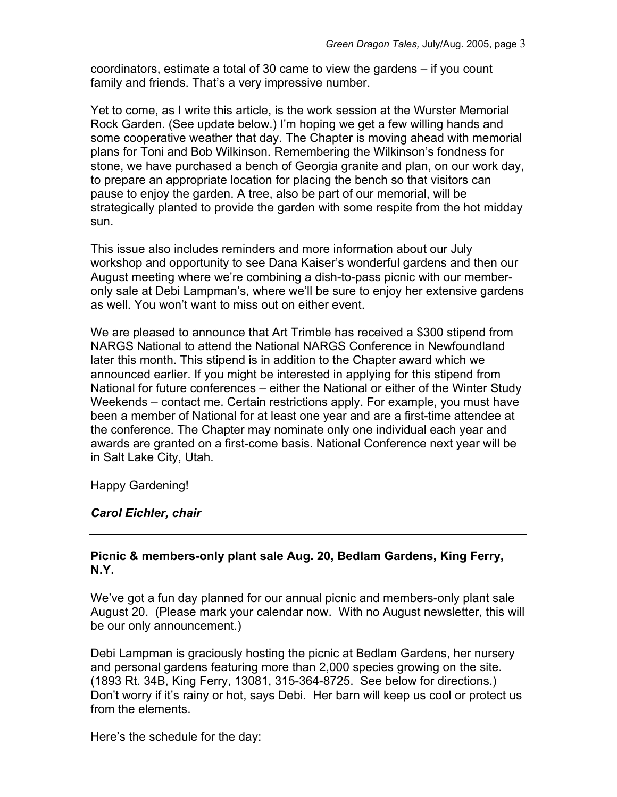coordinators, estimate a total of 30 came to view the gardens – if you count family and friends. That's a very impressive number.

Yet to come, as I write this article, is the work session at the Wurster Memorial Rock Garden. (See update below.) I'm hoping we get a few willing hands and some cooperative weather that day. The Chapter is moving ahead with memorial plans for Toni and Bob Wilkinson. Remembering the Wilkinson's fondness for stone, we have purchased a bench of Georgia granite and plan, on our work day, to prepare an appropriate location for placing the bench so that visitors can pause to enjoy the garden. A tree, also be part of our memorial, will be strategically planted to provide the garden with some respite from the hot midday sun.

This issue also includes reminders and more information about our July workshop and opportunity to see Dana Kaiser's wonderful gardens and then our August meeting where we're combining a dish-to-pass picnic with our memberonly sale at Debi Lampman's, where we'll be sure to enjoy her extensive gardens as well. You won't want to miss out on either event.

We are pleased to announce that Art Trimble has received a \$300 stipend from NARGS National to attend the National NARGS Conference in Newfoundland later this month. This stipend is in addition to the Chapter award which we announced earlier. If you might be interested in applying for this stipend from National for future conferences – either the National or either of the Winter Study Weekends – contact me. Certain restrictions apply. For example, you must have been a member of National for at least one year and are a first-time attendee at the conference. The Chapter may nominate only one individual each year and awards are granted on a first-come basis. National Conference next year will be in Salt Lake City, Utah.

Happy Gardening!

# *Carol Eichler, chair*

## **Picnic & members-only plant sale Aug. 20, Bedlam Gardens, King Ferry, N.Y.**

We've got a fun day planned for our annual picnic and members-only plant sale August 20. (Please mark your calendar now. With no August newsletter, this will be our only announcement.)

Debi Lampman is graciously hosting the picnic at Bedlam Gardens, her nursery and personal gardens featuring more than 2,000 species growing on the site. (1893 Rt. 34B, King Ferry, 13081, 315-364-8725. See below for directions.) Don't worry if it's rainy or hot, says Debi. Her barn will keep us cool or protect us from the elements.

Here's the schedule for the day: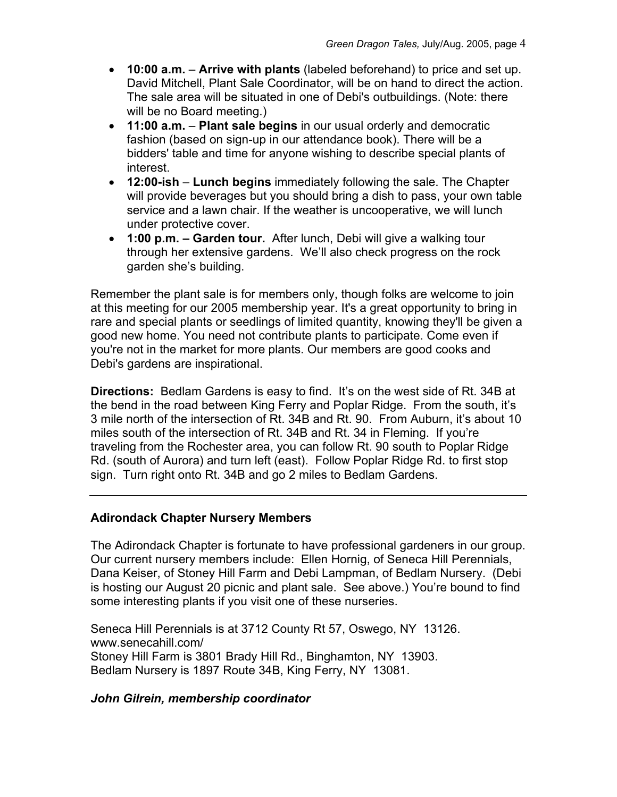- **10:00 a.m. Arrive with plants** (labeled beforehand) to price and set up. David Mitchell, Plant Sale Coordinator, will be on hand to direct the action. The sale area will be situated in one of Debi's outbuildings. (Note: there will be no Board meeting.)
- **11:00 a.m. Plant sale begins** in our usual orderly and democratic fashion (based on sign-up in our attendance book). There will be a bidders' table and time for anyone wishing to describe special plants of interest.
- **12:00-ish Lunch begins** immediately following the sale. The Chapter will provide beverages but you should bring a dish to pass, your own table service and a lawn chair. If the weather is uncooperative, we will lunch under protective cover.
- **1:00 p.m. Garden tour.** After lunch, Debi will give a walking tour through her extensive gardens. We'll also check progress on the rock garden she's building.

Remember the plant sale is for members only, though folks are welcome to join at this meeting for our 2005 membership year. It's a great opportunity to bring in rare and special plants or seedlings of limited quantity, knowing they'll be given a good new home. You need not contribute plants to participate. Come even if you're not in the market for more plants. Our members are good cooks and Debi's gardens are inspirational.

**Directions:** Bedlam Gardens is easy to find. It's on the west side of Rt. 34B at the bend in the road between King Ferry and Poplar Ridge. From the south, it's 3 mile north of the intersection of Rt. 34B and Rt. 90. From Auburn, it's about 10 miles south of the intersection of Rt. 34B and Rt. 34 in Fleming. If you're traveling from the Rochester area, you can follow Rt. 90 south to Poplar Ridge Rd. (south of Aurora) and turn left (east). Follow Poplar Ridge Rd. to first stop sign. Turn right onto Rt. 34B and go 2 miles to Bedlam Gardens.

## **Adirondack Chapter Nursery Members**

The Adirondack Chapter is fortunate to have professional gardeners in our group. Our current nursery members include: Ellen Hornig, of Seneca Hill Perennials, Dana Keiser, of Stoney Hill Farm and Debi Lampman, of Bedlam Nursery. (Debi is hosting our August 20 picnic and plant sale. See above.) You're bound to find some interesting plants if you visit one of these nurseries.

Seneca Hill Perennials is at 3712 County Rt 57, Oswego, NY 13126. www.senecahill.com/ Stoney Hill Farm is 3801 Brady Hill Rd., Binghamton, NY 13903. Bedlam Nursery is 1897 Route 34B, King Ferry, NY 13081.

#### *John Gilrein, membership coordinator*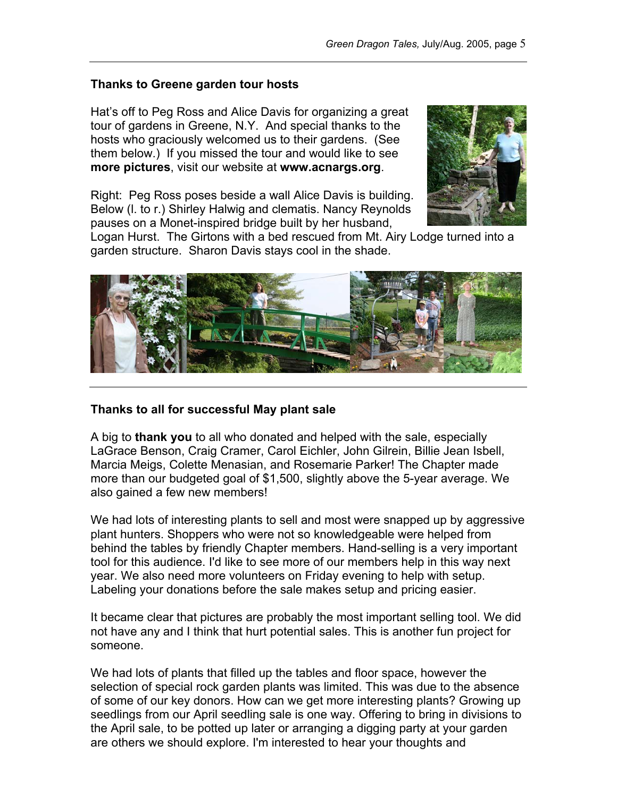#### **Thanks to Greene garden tour hosts**

Hat's off to Peg Ross and Alice Davis for organizing a great tour of gardens in Greene, N.Y. And special thanks to the hosts who graciously welcomed us to their gardens. (See them below.) If you missed the tour and would like to see **more pictures**, visit our website at **www.acnargs.org**.

Right: Peg Ross poses beside a wall Alice Davis is building. Below (l. to r.) Shirley Halwig and clematis. Nancy Reynolds pauses on a Monet-inspired bridge built by her husband,



Logan Hurst. The Girtons with a bed rescued from Mt. Airy Lodge turned into a garden structure. Sharon Davis stays cool in the shade.



#### **Thanks to all for successful May plant sale**

A big to **thank you** to all who donated and helped with the sale, especially LaGrace Benson, Craig Cramer, Carol Eichler, John Gilrein, Billie Jean Isbell, Marcia Meigs, Colette Menasian, and Rosemarie Parker! The Chapter made more than our budgeted goal of \$1,500, slightly above the 5-year average. We also gained a few new members!

We had lots of interesting plants to sell and most were snapped up by aggressive plant hunters. Shoppers who were not so knowledgeable were helped from behind the tables by friendly Chapter members. Hand-selling is a very important tool for this audience. I'd like to see more of our members help in this way next year. We also need more volunteers on Friday evening to help with setup. Labeling your donations before the sale makes setup and pricing easier.

It became clear that pictures are probably the most important selling tool. We did not have any and I think that hurt potential sales. This is another fun project for someone.

We had lots of plants that filled up the tables and floor space, however the selection of special rock garden plants was limited. This was due to the absence of some of our key donors. How can we get more interesting plants? Growing up seedlings from our April seedling sale is one way. Offering to bring in divisions to the April sale, to be potted up later or arranging a digging party at your garden are others we should explore. I'm interested to hear your thoughts and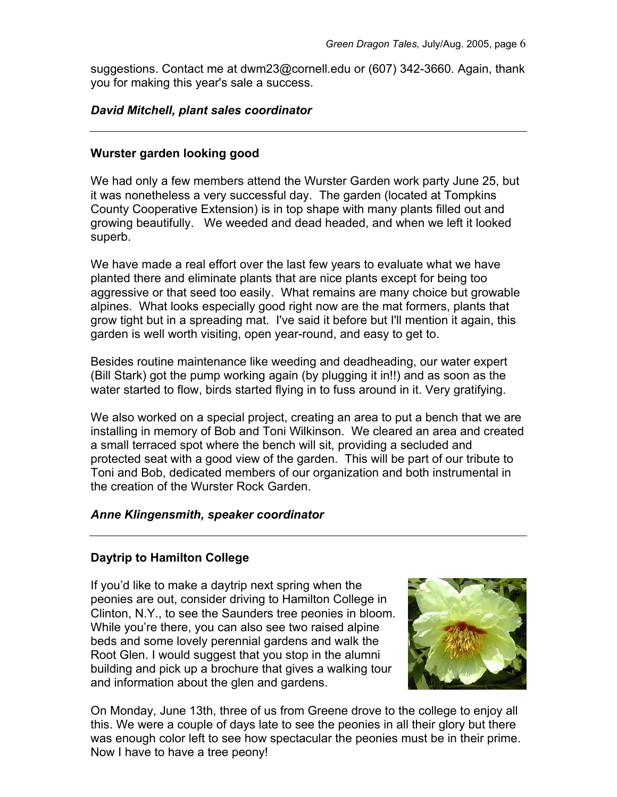suggestions. Contact me at dwm23@cornell.edu or (607) 342-3660. Again, thank you for making this year's sale a success.

## *David Mitchell, plant sales coordinator*

## **Wurster garden looking good**

We had only a few members attend the Wurster Garden work party June 25, but it was nonetheless a very successful day. The garden (located at Tompkins County Cooperative Extension) is in top shape with many plants filled out and growing beautifully. We weeded and dead headed, and when we left it looked superb.

We have made a real effort over the last few years to evaluate what we have planted there and eliminate plants that are nice plants except for being too aggressive or that seed too easily. What remains are many choice but growable alpines. What looks especially good right now are the mat formers, plants that grow tight but in a spreading mat. I've said it before but I'll mention it again, this garden is well worth visiting, open year-round, and easy to get to.

Besides routine maintenance like weeding and deadheading, our water expert (Bill Stark) got the pump working again (by plugging it in!!) and as soon as the water started to flow, birds started flying in to fuss around in it. Very gratifying.

We also worked on a special project, creating an area to put a bench that we are installing in memory of Bob and Toni Wilkinson. We cleared an area and created a small terraced spot where the bench will sit, providing a secluded and protected seat with a good view of the garden. This will be part of our tribute to Toni and Bob, dedicated members of our organization and both instrumental in the creation of the Wurster Rock Garden

## *Anne Klingensmith, speaker coordinator*

## **Daytrip to Hamilton College**

If you'd like to make a daytrip next spring when the peonies are out, consider driving to Hamilton College in Clinton, N.Y., to see the Saunders tree peonies in bloom. While you're there, you can also see two raised alpine beds and some lovely perennial gardens and walk the Root Glen. I would suggest that you stop in the alumni building and pick up a brochure that gives a walking tour and information about the glen and gardens.



On Monday, June 13th, three of us from Greene drove to the college to enjoy all this. We were a couple of days late to see the peonies in all their glory but there was enough color left to see how spectacular the peonies must be in their prime. Now I have to have a tree peony!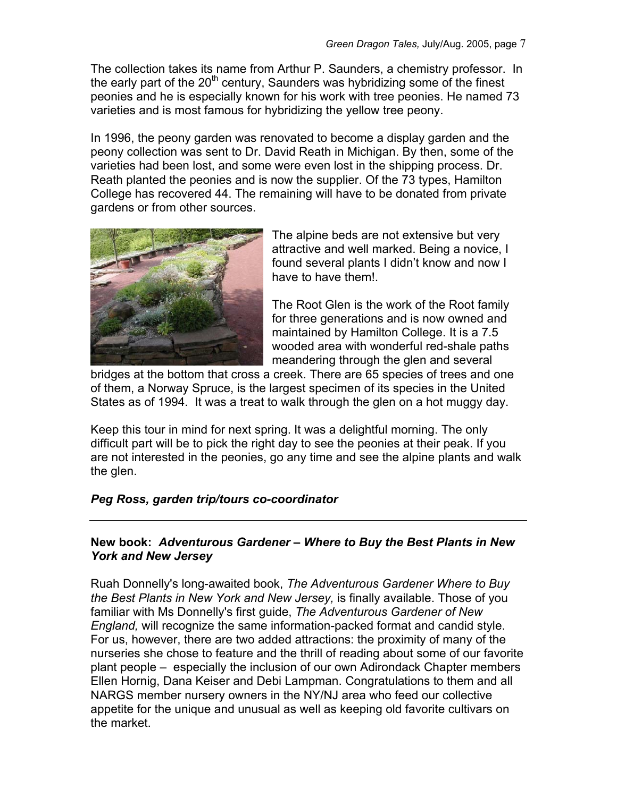The collection takes its name from Arthur P. Saunders, a chemistry professor. In the early part of the  $20<sup>th</sup>$  century, Saunders was hybridizing some of the finest peonies and he is especially known for his work with tree peonies. He named 73 varieties and is most famous for hybridizing the yellow tree peony.

In 1996, the peony garden was renovated to become a display garden and the peony collection was sent to Dr. David Reath in Michigan. By then, some of the varieties had been lost, and some were even lost in the shipping process. Dr. Reath planted the peonies and is now the supplier. Of the 73 types, Hamilton College has recovered 44. The remaining will have to be donated from private gardens or from other sources.



The alpine beds are not extensive but very attractive and well marked. Being a novice, I found several plants I didn't know and now I have to have them!

The Root Glen is the work of the Root family for three generations and is now owned and maintained by Hamilton College. It is a 7.5 wooded area with wonderful red-shale paths meandering through the glen and several

bridges at the bottom that cross a creek. There are 65 species of trees and one of them, a Norway Spruce, is the largest specimen of its species in the United States as of 1994. It was a treat to walk through the glen on a hot muggy day.

Keep this tour in mind for next spring. It was a delightful morning. The only difficult part will be to pick the right day to see the peonies at their peak. If you are not interested in the peonies, go any time and see the alpine plants and walk the glen.

# *Peg Ross, garden trip/tours co-coordinator*

## **New book:** *Adventurous Gardener – Where to Buy the Best Plants in New York and New Jersey*

Ruah Donnelly's long-awaited book, *The Adventurous Gardener Where to Buy the Best Plants in New York and New Jersey,* is finally available. Those of you familiar with Ms Donnelly's first guide, *The Adventurous Gardener of New England,* will recognize the same information-packed format and candid style. For us, however, there are two added attractions: the proximity of many of the nurseries she chose to feature and the thrill of reading about some of our favorite plant people – especially the inclusion of our own Adirondack Chapter members Ellen Hornig, Dana Keiser and Debi Lampman. Congratulations to them and all NARGS member nursery owners in the NY/NJ area who feed our collective appetite for the unique and unusual as well as keeping old favorite cultivars on the market.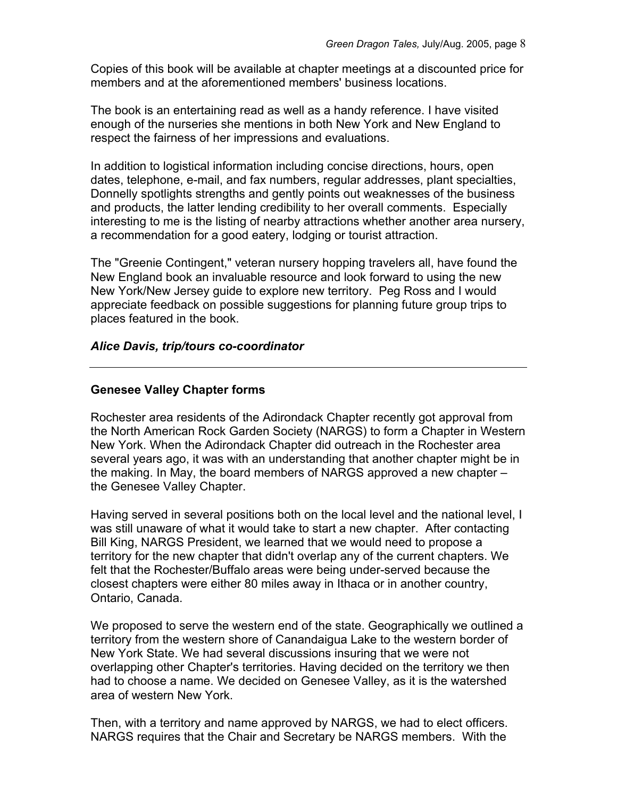Copies of this book will be available at chapter meetings at a discounted price for members and at the aforementioned members' business locations.

The book is an entertaining read as well as a handy reference. I have visited enough of the nurseries she mentions in both New York and New England to respect the fairness of her impressions and evaluations.

In addition to logistical information including concise directions, hours, open dates, telephone, e-mail, and fax numbers, regular addresses, plant specialties, Donnelly spotlights strengths and gently points out weaknesses of the business and products, the latter lending credibility to her overall comments. Especially interesting to me is the listing of nearby attractions whether another area nursery, a recommendation for a good eatery, lodging or tourist attraction.

The "Greenie Contingent," veteran nursery hopping travelers all, have found the New England book an invaluable resource and look forward to using the new New York/New Jersey guide to explore new territory. Peg Ross and I would appreciate feedback on possible suggestions for planning future group trips to places featured in the book.

## *Alice Davis, trip/tours co-coordinator*

## **Genesee Valley Chapter forms**

Rochester area residents of the Adirondack Chapter recently got approval from the North American Rock Garden Society (NARGS) to form a Chapter in Western New York. When the Adirondack Chapter did outreach in the Rochester area several years ago, it was with an understanding that another chapter might be in the making. In May, the board members of NARGS approved a new chapter – the Genesee Valley Chapter.

Having served in several positions both on the local level and the national level, I was still unaware of what it would take to start a new chapter. After contacting Bill King, NARGS President, we learned that we would need to propose a territory for the new chapter that didn't overlap any of the current chapters. We felt that the Rochester/Buffalo areas were being under-served because the closest chapters were either 80 miles away in Ithaca or in another country, Ontario, Canada.

We proposed to serve the western end of the state. Geographically we outlined a territory from the western shore of Canandaigua Lake to the western border of New York State. We had several discussions insuring that we were not overlapping other Chapter's territories. Having decided on the territory we then had to choose a name. We decided on Genesee Valley, as it is the watershed area of western New York.

Then, with a territory and name approved by NARGS, we had to elect officers. NARGS requires that the Chair and Secretary be NARGS members. With the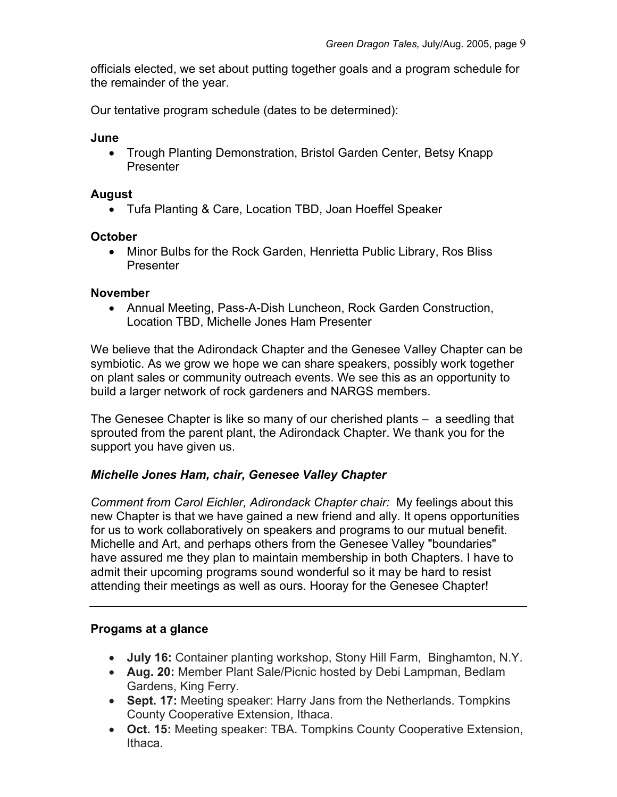officials elected, we set about putting together goals and a program schedule for the remainder of the year.

Our tentative program schedule (dates to be determined):

## **June**

• Trough Planting Demonstration, Bristol Garden Center, Betsy Knapp Presenter

## **August**

• Tufa Planting & Care, Location TBD, Joan Hoeffel Speaker

## **October**

• Minor Bulbs for the Rock Garden, Henrietta Public Library, Ros Bliss Presenter

## **November**

• Annual Meeting, Pass-A-Dish Luncheon, Rock Garden Construction, Location TBD, Michelle Jones Ham Presenter

We believe that the Adirondack Chapter and the Genesee Valley Chapter can be symbiotic. As we grow we hope we can share speakers, possibly work together on plant sales or community outreach events. We see this as an opportunity to build a larger network of rock gardeners and NARGS members.

The Genesee Chapter is like so many of our cherished plants – a seedling that sprouted from the parent plant, the Adirondack Chapter. We thank you for the support you have given us.

# *Michelle Jones Ham, chair, Genesee Valley Chapter*

*Comment from Carol Eichler, Adirondack Chapter chair:* My feelings about this new Chapter is that we have gained a new friend and ally. It opens opportunities for us to work collaboratively on speakers and programs to our mutual benefit. Michelle and Art, and perhaps others from the Genesee Valley "boundaries" have assured me they plan to maintain membership in both Chapters. I have to admit their upcoming programs sound wonderful so it may be hard to resist attending their meetings as well as ours. Hooray for the Genesee Chapter!

# **Progams at a glance**

- **July 16:** Container planting workshop, Stony Hill Farm, Binghamton, N.Y.
- **Aug. 20:** Member Plant Sale/Picnic hosted by Debi Lampman, Bedlam Gardens, King Ferry.
- **Sept. 17:** Meeting speaker: Harry Jans from the Netherlands. Tompkins County Cooperative Extension, Ithaca.
- **Oct. 15:** Meeting speaker: TBA. Tompkins County Cooperative Extension, Ithaca.